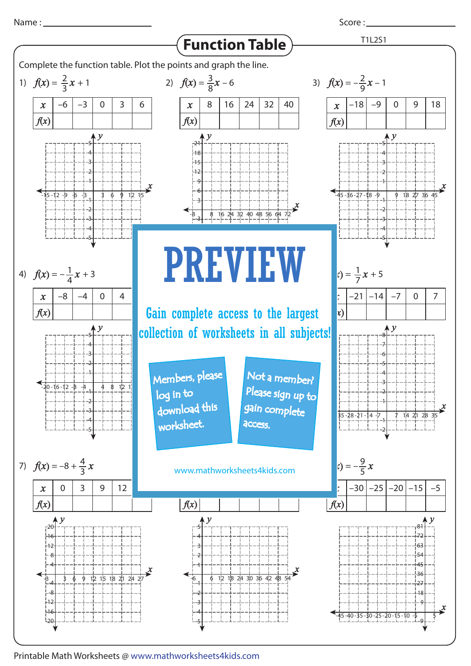

Score : \_\_\_\_\_\_\_